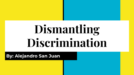# **Dismantling Discrimination**

**By: Alejandro San Juan**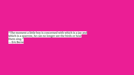"The moment a little boy is concerned with which is a jay and which is a sparrow, he can no longer see the birds or hear them sing." ― **Eric Berne**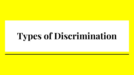### **Types of Discrimination**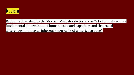

Racism is described by the Merriam-Webster dictionary as "a belief that race is a fundamental determinant of human traits and capacities and that racial differences produce an inherent superiority of a particular race".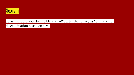

Sexism is described by the Merriam-Webster dictionary as "prejudice or discrimination based on sex".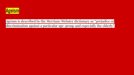

Ageism is described by the Merriam-Webster dictionary as "prejudice or discrimination against a particular age-group and especially the elderly".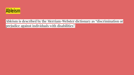

Ableism is described by the Merriam-Webster dictionary as "discrimination or prejudice against individuals with disabilities".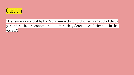

Classism is described by the Merriam-Webster dictionary as "a belief that a person's social or economic station in society determines their value in that society".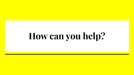## **How can you help?**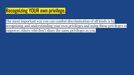### Recognizing YOUR own privilege.

The most important way you can combat discrimination of all kinds is by recognizing and understanding your own privileges and using those privileges to empower others who don't share the same privileges as you.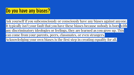#### Do you have any biases?

Ask yourself if you subconsciously or consciously have any biases against anyone. It typically isn't your fault that you have these biases because nobody is born with any discriminatory ideologies or feelings, they are learned as you grow up. This can come from your parents, peers, classmates, or even strangers. Acknowledging your own biases is the first step in creating equality for all.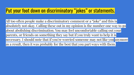#### Put your foot down on discriminatory "jokes" or statements.

All too often people make a discriminatory comment or a "joke" and this is absolutely not okay. Calling these out in my opinion is the number one way to go about abolishing discrimination. You may feel uncomfortable calling out your parents, or friends on something they say but if you truly want to help it is necessary. I should note that if you're worried someone may not like you anymore as a result, then it was probably for the best that you part ways with them.